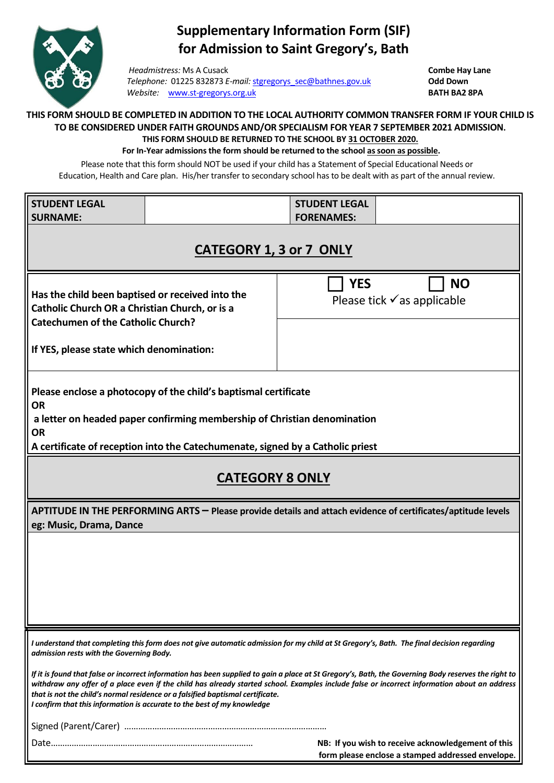

## **Supplementary Information Form (SIF) for Admission to Saint Gregory's, Bath**

*Headmistress:* Ms A Cusack **Combe Hay Lane**<br> *Telephone:* 01225 832873 E-mail: stgregorys sec@bathnes.gov.uk **Combe Hay Lane** *Telephone:* 01225 832873 *E-mail:* [stgregorys\\_sec@bathnes.gov.uk](mailto:stgregorys_sec@bathnes.gov.uk) **Odd Down**  *Website:* [www.st-gregorys.org.uk](http://www.st-gregorys.org.uk/) **BATH BA2 8PA**

## **THIS FORM SHOULD BE COMPLETED IN ADDITION TO THE LOCAL AUTHORITY COMMON TRANSFER FORM IF YOUR CHILD IS TO BE CONSIDERED UNDER FAITH GROUNDS AND/OR SPECIALISM FOR YEAR 7 SEPTEMBER 2021 ADMISSION. THIS FORM SHOULD BE RETURNED TO THE SCHOOL BY 31 OCTOBER 2020.**

## **For In-Year admissions the form should be returned to the school as soon as possible.**

Please note that this form should NOT be used if your child has a Statement of Special Educational Needs or Education, Health and Care plan. His/her transfer to secondary school has to be dealt with as part of the annual review.

| <b>STUDENT LEGAL</b>                                                                                                                                                                                                                                                                                                                                                                                                                                              |  | <b>STUDENT LEGAL</b>                                              |
|-------------------------------------------------------------------------------------------------------------------------------------------------------------------------------------------------------------------------------------------------------------------------------------------------------------------------------------------------------------------------------------------------------------------------------------------------------------------|--|-------------------------------------------------------------------|
| <b>SURNAME:</b>                                                                                                                                                                                                                                                                                                                                                                                                                                                   |  | <b>FORENAMES:</b>                                                 |
| <b>CATEGORY 1, 3 or 7 ONLY</b>                                                                                                                                                                                                                                                                                                                                                                                                                                    |  |                                                                   |
| Has the child been baptised or received into the<br>Catholic Church OR a Christian Church, or is a<br><b>Catechumen of the Catholic Church?</b><br>If YES, please state which denomination:                                                                                                                                                                                                                                                                       |  | <b>YES</b><br><b>NO</b><br>Please tick $\checkmark$ as applicable |
| Please enclose a photocopy of the child's baptismal certificate<br><b>OR</b><br>a letter on headed paper confirming membership of Christian denomination<br><b>OR</b><br>A certificate of reception into the Catechumenate, signed by a Catholic priest                                                                                                                                                                                                           |  |                                                                   |
| <b>CATEGORY 8 ONLY</b>                                                                                                                                                                                                                                                                                                                                                                                                                                            |  |                                                                   |
| APTITUDE IN THE PERFORMING ARTS - Please provide details and attach evidence of certificates/aptitude levels<br>eg: Music, Drama, Dance                                                                                                                                                                                                                                                                                                                           |  |                                                                   |
|                                                                                                                                                                                                                                                                                                                                                                                                                                                                   |  |                                                                   |
| I understand that completing this form does not give automatic admission for my child at St Gregory's, Bath. The final decision regarding<br>admission rests with the Governing Body.                                                                                                                                                                                                                                                                             |  |                                                                   |
| If it is found that false or incorrect information has been supplied to gain a place at St Gregory's, Bath, the Governing Body reserves the right to<br>withdraw any offer of a place even if the child has already started school. Examples include false or incorrect information about an address<br>that is not the child's normal residence or a falsified baptismal certificate.<br>I confirm that this information is accurate to the best of my knowledge |  |                                                                   |
|                                                                                                                                                                                                                                                                                                                                                                                                                                                                   |  |                                                                   |
| NB: If you wish to receive acknowledgement of this<br>form please enclose a stamped addressed envelope.                                                                                                                                                                                                                                                                                                                                                           |  |                                                                   |